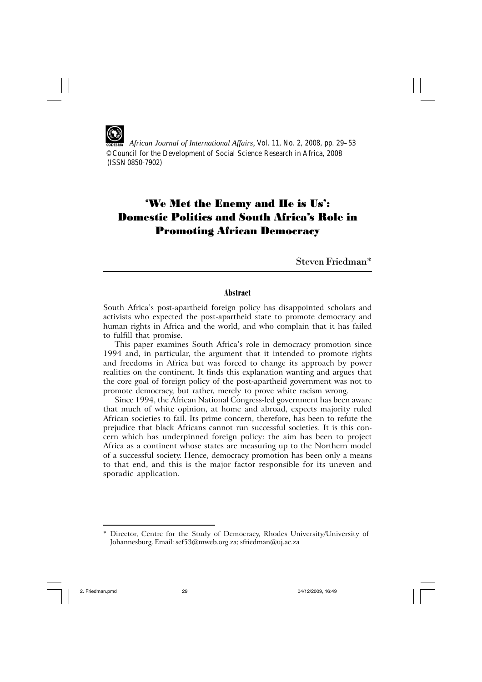

# 'We Met the Enemy and He is Us': Domestic Politics and South Africa's Role in Promoting African Democracy

Steven Friedman\*

#### **Abstract**

South Africa's post-apartheid foreign policy has disappointed scholars and activists who expected the post-apartheid state to promote democracy and human rights in Africa and the world, and who complain that it has failed to fulfill that promise.

This paper examines South Africa's role in democracy promotion since 1994 and, in particular, the argument that it intended to promote rights and freedoms in Africa but was forced to change its approach by power realities on the continent. It finds this explanation wanting and argues that the core goal of foreign policy of the post-apartheid government was not to promote democracy, but rather, merely to prove white racism wrong.

Since 1994, the African National Congress-led government has been aware that much of white opinion, at home and abroad, expects majority ruled African societies to fail. Its prime concern, therefore, has been to refute the prejudice that black Africans cannot run successful societies. It is this concern which has underpinned foreign policy: the aim has been to project Africa as a continent whose states are measuring up to the Northern model of a successful society. Hence, democracy promotion has been only a means to that end, and this is the major factor responsible for its uneven and sporadic application.

Director, Centre for the Study of Democracy, Rhodes University/University of Johannesburg. Email: sef53@mweb.org.za; sfriedman@uj.ac.za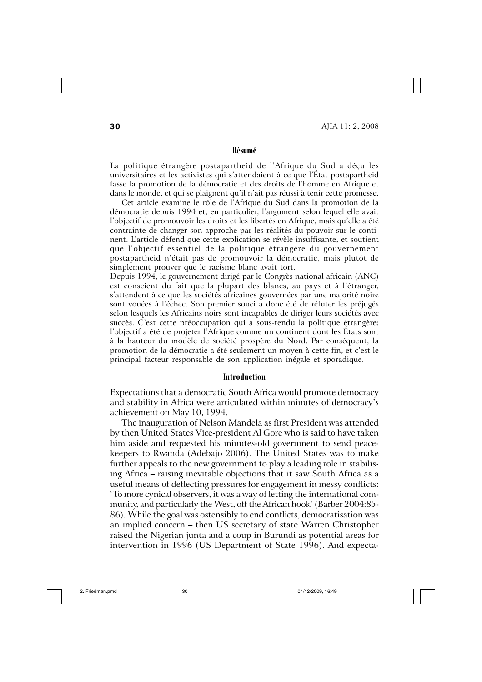# **Résumé**

La politique étrangère postapartheid de l'Afrique du Sud a déçu les universitaires et les activistes qui s'attendaient à ce que l'État postapartheid fasse la promotion de la démocratie et des droits de l'homme en Afrique et dans le monde, et qui se plaignent qu'il n'ait pas réussi à tenir cette promesse.

Cet article examine le rôle de l'Afrique du Sud dans la promotion de la démocratie depuis 1994 et, en particulier, l'argument selon lequel elle avait l'objectif de promouvoir les droits et les libertés en Afrique, mais qu'elle a été contrainte de changer son approche par les réalités du pouvoir sur le continent. L'article défend que cette explication se révèle insuffisante, et soutient que l'objectif essentiel de la politique étrangère du gouvernement postapartheid n'était pas de promouvoir la démocratie, mais plutôt de simplement prouver que le racisme blanc avait tort.

Depuis 1994, le gouvernement dirigé par le Congrès national africain (ANC) est conscient du fait que la plupart des blancs, au pays et à l'étranger, s'attendent à ce que les sociétés africaines gouvernées par une majorité noire sont vouées à l'échec. Son premier souci a donc été de réfuter les préjugés selon lesquels les Africains noirs sont incapables de diriger leurs sociétés avec succès. C'est cette préoccupation qui a sous-tendu la politique étrangère: l'objectif a été de projeter l'Afrique comme un continent dont les États sont à la hauteur du modèle de société prospère du Nord. Par conséquent, la promotion de la démocratie a été seulement un moyen à cette fin, et c'est le principal facteur responsable de son application inégale et sporadique.

#### **Introduction**

Expectations that a democratic South Africa would promote democracy and stability in Africa were articulated within minutes of democracy's achievement on May 10, 1994.

The inauguration of Nelson Mandela as first President was attended by then United States Vice-president Al Gore who is said to have taken him aside and requested his minutes-old government to send peacekeepers to Rwanda (Adebajo 2006). The United States was to make further appeals to the new government to play a leading role in stabilising Africa – raising inevitable objections that it saw South Africa as a useful means of deflecting pressures for engagement in messy conflicts: 'To more cynical observers, it was a way of letting the international community, and particularly the West, off the African hook' (Barber 2004:85- 86). While the goal was ostensibly to end conflicts, democratisation was an implied concern – then US secretary of state Warren Christopher raised the Nigerian junta and a coup in Burundi as potential areas for intervention in 1996 (US Department of State 1996). And expecta-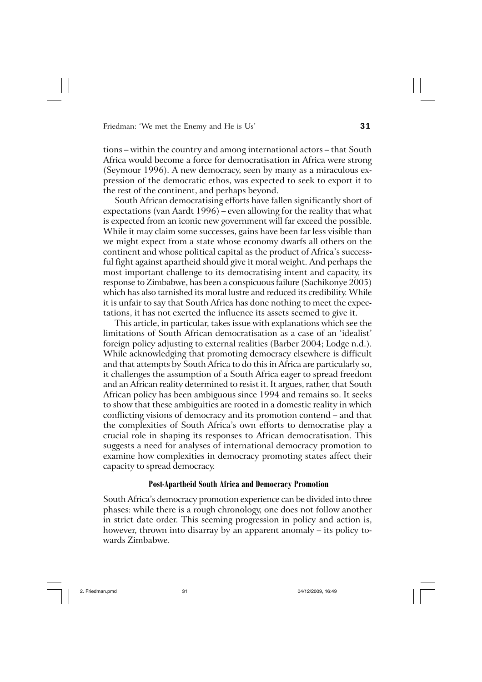tions – within the country and among international actors – that South Africa would become a force for democratisation in Africa were strong (Seymour 1996). A new democracy, seen by many as a miraculous expression of the democratic ethos, was expected to seek to export it to the rest of the continent, and perhaps beyond.

South African democratising efforts have fallen significantly short of expectations (van Aardt 1996) – even allowing for the reality that what is expected from an iconic new government will far exceed the possible. While it may claim some successes, gains have been far less visible than we might expect from a state whose economy dwarfs all others on the continent and whose political capital as the product of Africa's successful fight against apartheid should give it moral weight. And perhaps the most important challenge to its democratising intent and capacity, its response to Zimbabwe, has been a conspicuous failure (Sachikonye 2005) which has also tarnished its moral lustre and reduced its credibility. While it is unfair to say that South Africa has done nothing to meet the expectations, it has not exerted the influence its assets seemed to give it.

This article, in particular, takes issue with explanations which see the limitations of South African democratisation as a case of an 'idealist' foreign policy adjusting to external realities (Barber 2004; Lodge n.d.). While acknowledging that promoting democracy elsewhere is difficult and that attempts by South Africa to do this in Africa are particularly so, it challenges the assumption of a South Africa eager to spread freedom and an African reality determined to resist it. It argues, rather, that South African policy has been ambiguous since 1994 and remains so. It seeks to show that these ambiguities are rooted in a domestic reality in which conflicting visions of democracy and its promotion contend – and that the complexities of South Africa's own efforts to democratise play a crucial role in shaping its responses to African democratisation. This suggests a need for analyses of international democracy promotion to examine how complexities in democracy promoting states affect their capacity to spread democracy.

# **Post-Apartheid South Africa and Democracy Promotion**

South Africa's democracy promotion experience can be divided into three phases: while there is a rough chronology, one does not follow another in strict date order. This seeming progression in policy and action is, however, thrown into disarray by an apparent anomaly – its policy towards Zimbabwe.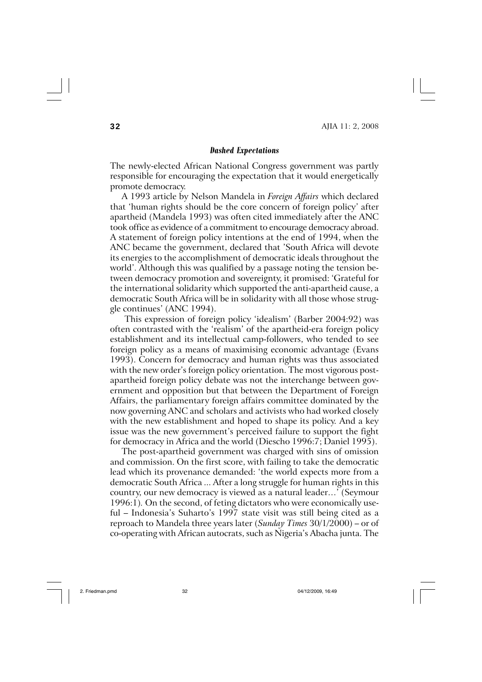# *Dashed Expectations*

The newly-elected African National Congress government was partly responsible for encouraging the expectation that it would energetically promote democracy.

A 1993 article by Nelson Mandela in *Foreign Affairs* which declared that 'human rights should be the core concern of foreign policy' after apartheid (Mandela 1993) was often cited immediately after the ANC took office as evidence of a commitment to encourage democracy abroad. A statement of foreign policy intentions at the end of 1994, when the ANC became the government, declared that 'South Africa will devote its energies to the accomplishment of democratic ideals throughout the world'. Although this was qualified by a passage noting the tension between democracy promotion and sovereignty, it promised: 'Grateful for the international solidarity which supported the anti-apartheid cause, a democratic South Africa will be in solidarity with all those whose struggle continues' (ANC 1994).

 This expression of foreign policy 'idealism' (Barber 2004:92) was often contrasted with the 'realism' of the apartheid-era foreign policy establishment and its intellectual camp-followers, who tended to see foreign policy as a means of maximising economic advantage (Evans 1993). Concern for democracy and human rights was thus associated with the new order's foreign policy orientation. The most vigorous postapartheid foreign policy debate was not the interchange between government and opposition but that between the Department of Foreign Affairs, the parliamentary foreign affairs committee dominated by the now governing ANC and scholars and activists who had worked closely with the new establishment and hoped to shape its policy. And a key issue was the new government's perceived failure to support the fight for democracy in Africa and the world (Diescho 1996:7; Daniel 1995).

The post-apartheid government was charged with sins of omission and commission. On the first score, with failing to take the democratic lead which its provenance demanded: 'the world expects more from a democratic South Africa ... After a long struggle for human rights in this country, our new democracy is viewed as a natural leader…' (Seymour 1996:1)*.* On the second, of feting dictators who were economically useful – Indonesia's Suharto's 1997 state visit was still being cited as a reproach to Mandela three years later (*Sunday Times* 30/1/2000) – or of co-operating with African autocrats, such as Nigeria's Abacha junta. The

2. Friedman.pmd 32 04/12/2009, 16:49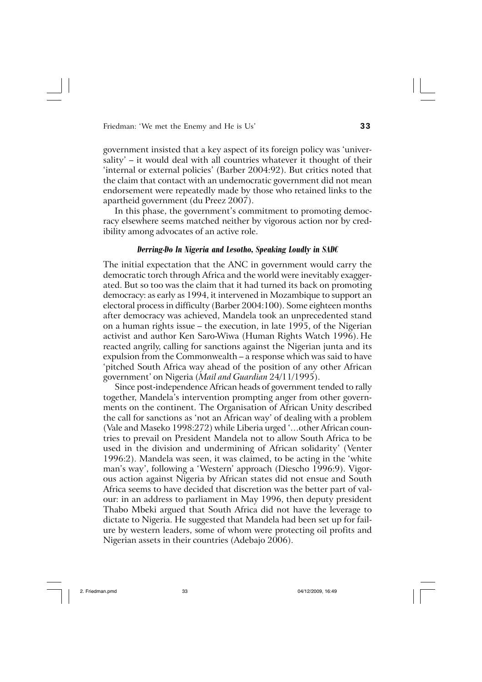government insisted that a key aspect of its foreign policy was 'universality' – it would deal with all countries whatever it thought of their 'internal or external policies' (Barber 2004:92). But critics noted that the claim that contact with an undemocratic government did not mean endorsement were repeatedly made by those who retained links to the apartheid government (du Preez 2007).

In this phase, the government's commitment to promoting democracy elsewhere seems matched neither by vigorous action nor by credibility among advocates of an active role.

## *Derring-Do In Nigeria and Lesotho, Speaking Loudly in SADC*

The initial expectation that the ANC in government would carry the democratic torch through Africa and the world were inevitably exaggerated. But so too was the claim that it had turned its back on promoting democracy: as early as 1994, it intervened in Mozambique to support an electoral process in difficulty (Barber 2004:100). Some eighteen months after democracy was achieved, Mandela took an unprecedented stand on a human rights issue – the execution, in late 1995, of the Nigerian activist and author Ken Saro-Wiwa (Human Rights Watch 1996). He reacted angrily, calling for sanctions against the Nigerian junta and its expulsion from the Commonwealth – a response which was said to have 'pitched South Africa way ahead of the position of any other African government' on Nigeria (*Mail and Guardian* 24/11/1995).

Since post-independence African heads of government tended to rally together, Mandela's intervention prompting anger from other governments on the continent. The Organisation of African Unity described the call for sanctions as 'not an African way' of dealing with a problem (Vale and Maseko 1998:272) while Liberia urged '…other African countries to prevail on President Mandela not to allow South Africa to be used in the division and undermining of African solidarity' (Venter 1996:2). Mandela was seen, it was claimed, to be acting in the 'white man's way', following a 'Western' approach (Diescho 1996:9). Vigorous action against Nigeria by African states did not ensue and South Africa seems to have decided that discretion was the better part of valour: in an address to parliament in May 1996, then deputy president Thabo Mbeki argued that South Africa did not have the leverage to dictate to Nigeria. He suggested that Mandela had been set up for failure by western leaders, some of whom were protecting oil profits and Nigerian assets in their countries (Adebajo 2006).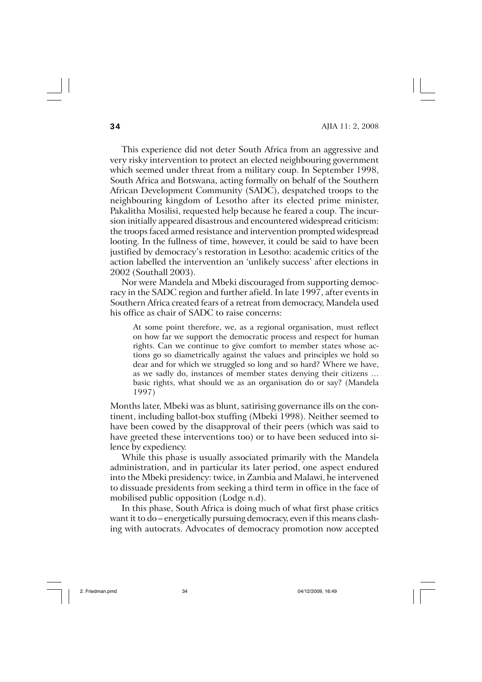This experience did not deter South Africa from an aggressive and very risky intervention to protect an elected neighbouring government which seemed under threat from a military coup. In September 1998, South Africa and Botswana, acting formally on behalf of the Southern African Development Community (SADC), despatched troops to the neighbouring kingdom of Lesotho after its elected prime minister, Pakalitha Mosilisi, requested help because he feared a coup. The incursion initially appeared disastrous and encountered widespread criticism: the troops faced armed resistance and intervention prompted widespread looting. In the fullness of time, however, it could be said to have been justified by democracy's restoration in Lesotho: academic critics of the action labelled the intervention an 'unlikely success' after elections in 2002 (Southall 2003).

Nor were Mandela and Mbeki discouraged from supporting democracy in the SADC region and further afield. In late 1997, after events in Southern Africa created fears of a retreat from democracy, Mandela used his office as chair of SADC to raise concerns:

At some point therefore, we, as a regional organisation, must reflect on how far we support the democratic process and respect for human rights. Can we continue to give comfort to member states whose actions go so diametrically against the values and principles we hold so dear and for which we struggled so long and so hard? Where we have, as we sadly do, instances of member states denying their citizens … basic rights, what should we as an organisation do or say? (Mandela 1997)

Months later, Mbeki was as blunt, satirising governance ills on the continent, including ballot-box stuffing (Mbeki 1998). Neither seemed to have been cowed by the disapproval of their peers (which was said to have greeted these interventions too) or to have been seduced into silence by expediency.

While this phase is usually associated primarily with the Mandela administration, and in particular its later period, one aspect endured into the Mbeki presidency: twice, in Zambia and Malawi, he intervened to dissuade presidents from seeking a third term in office in the face of mobilised public opposition (Lodge n.d).

In this phase, South Africa is doing much of what first phase critics want it to do – energetically pursuing democracy, even if this means clashing with autocrats. Advocates of democracy promotion now accepted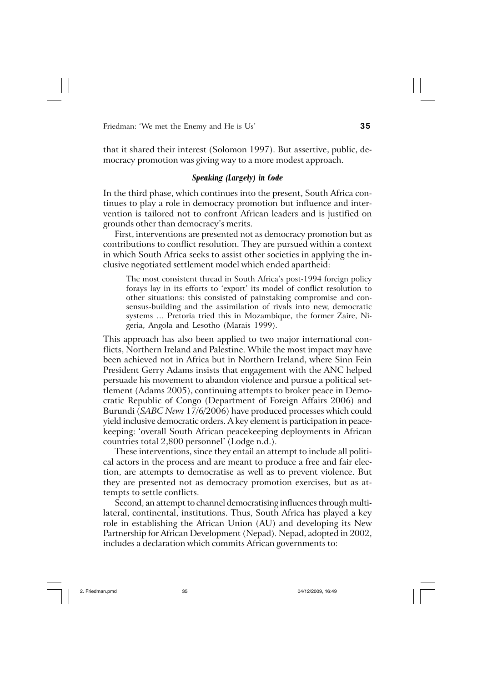that it shared their interest (Solomon 1997). But assertive, public, democracy promotion was giving way to a more modest approach.

## *Speaking (Largely) in Code*

In the third phase, which continues into the present, South Africa continues to play a role in democracy promotion but influence and intervention is tailored not to confront African leaders and is justified on grounds other than democracy's merits.

First, interventions are presented not as democracy promotion but as contributions to conflict resolution. They are pursued within a context in which South Africa seeks to assist other societies in applying the inclusive negotiated settlement model which ended apartheid:

The most consistent thread in South Africa's post-1994 foreign policy forays lay in its efforts to 'export' its model of conflict resolution to other situations: this consisted of painstaking compromise and consensus-building and the assimilation of rivals into new, democratic systems … Pretoria tried this in Mozambique, the former Zaire, Nigeria, Angola and Lesotho (Marais 1999).

This approach has also been applied to two major international conflicts, Northern Ireland and Palestine. While the most impact may have been achieved not in Africa but in Northern Ireland, where Sinn Fein President Gerry Adams insists that engagement with the ANC helped persuade his movement to abandon violence and pursue a political settlement (Adams 2005), continuing attempts to broker peace in Democratic Republic of Congo (Department of Foreign Affairs 2006) and Burundi (*SABC News* 17/6/2006) have produced processes which could yield inclusive democratic orders. A key element is participation in peacekeeping: 'overall South African peacekeeping deployments in African countries total 2,800 personnel' (Lodge n.d.).

These interventions, since they entail an attempt to include all political actors in the process and are meant to produce a free and fair election, are attempts to democratise as well as to prevent violence. But they are presented not as democracy promotion exercises, but as attempts to settle conflicts.

Second, an attempt to channel democratising influences through multilateral, continental, institutions. Thus, South Africa has played a key role in establishing the African Union (AU) and developing its New Partnership for African Development (Nepad). Nepad, adopted in 2002, includes a declaration which commits African governments to: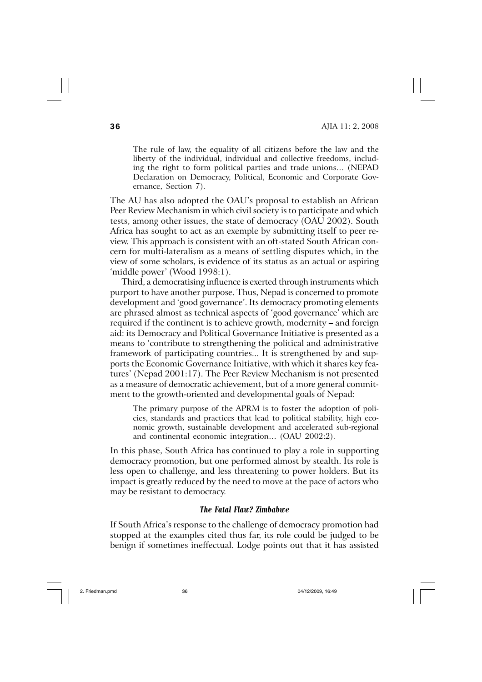The rule of law, the equality of all citizens before the law and the liberty of the individual, individual and collective freedoms, including the right to form political parties and trade unions… (NEPAD Declaration on Democracy, Political, Economic and Corporate Governance, Section 7).

The AU has also adopted the OAU's proposal to establish an African Peer Review Mechanism in which civil society is to participate and which tests, among other issues, the state of democracy (OAU 2002). South Africa has sought to act as an exemple by submitting itself to peer review. This approach is consistent with an oft-stated South African concern for multi-lateralism as a means of settling disputes which, in the view of some scholars, is evidence of its status as an actual or aspiring 'middle power' (Wood 1998:1).

Third, a democratising influence is exerted through instruments which purport to have another purpose. Thus, Nepad is concerned to promote development and 'good governance'. Its democracy promoting elements are phrased almost as technical aspects of 'good governance' which are required if the continent is to achieve growth, modernity – and foreign aid: its Democracy and Political Governance Initiative is presented as a means to 'contribute to strengthening the political and administrative framework of participating countries... It is strengthened by and supports the Economic Governance Initiative, with which it shares key features' (Nepad 2001:17). The Peer Review Mechanism is not presented as a measure of democratic achievement, but of a more general commitment to the growth-oriented and developmental goals of Nepad:

The primary purpose of the APRM is to foster the adoption of policies, standards and practices that lead to political stability, high economic growth, sustainable development and accelerated sub-regional and continental economic integration… (OAU 2002:2).

In this phase, South Africa has continued to play a role in supporting democracy promotion, but one performed almost by stealth. Its role is less open to challenge, and less threatening to power holders. But its impact is greatly reduced by the need to move at the pace of actors who may be resistant to democracy.

## *The Fatal Flaw? Zimbabwe*

If South Africa's response to the challenge of democracy promotion had stopped at the examples cited thus far, its role could be judged to be benign if sometimes ineffectual. Lodge points out that it has assisted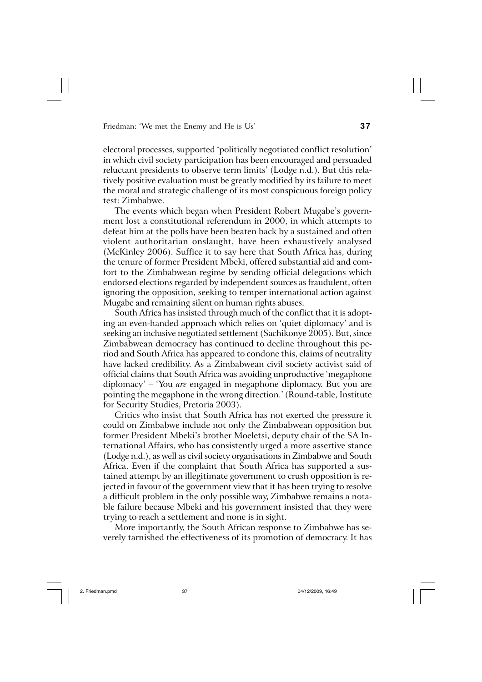electoral processes, supported 'politically negotiated conflict resolution' in which civil society participation has been encouraged and persuaded reluctant presidents to observe term limits' (Lodge n.d.). But this relatively positive evaluation must be greatly modified by its failure to meet the moral and strategic challenge of its most conspicuous foreign policy test: Zimbabwe.

The events which began when President Robert Mugabe's government lost a constitutional referendum in 2000, in which attempts to defeat him at the polls have been beaten back by a sustained and often violent authoritarian onslaught, have been exhaustively analysed (McKinley 2006). Suffice it to say here that South Africa has, during the tenure of former President Mbeki, offered substantial aid and comfort to the Zimbabwean regime by sending official delegations which endorsed elections regarded by independent sources as fraudulent, often ignoring the opposition, seeking to temper international action against Mugabe and remaining silent on human rights abuses.

South Africa has insisted through much of the conflict that it is adopting an even-handed approach which relies on 'quiet diplomacy' and is seeking an inclusive negotiated settlement (Sachikonye 2005). But, since Zimbabwean democracy has continued to decline throughout this period and South Africa has appeared to condone this, claims of neutrality have lacked credibility. As a Zimbabwean civil society activist said of official claims that South Africa was avoiding unproductive 'megaphone diplomacy' – 'You *are* engaged in megaphone diplomacy. But you are pointing the megaphone in the wrong direction.' (Round-table, Institute for Security Studies, Pretoria 2003).

Critics who insist that South Africa has not exerted the pressure it could on Zimbabwe include not only the Zimbabwean opposition but former President Mbeki's brother Moeletsi, deputy chair of the SA International Affairs, who has consistently urged a more assertive stance (Lodge n.d.), as well as civil society organisations in Zimbabwe and South Africa. Even if the complaint that South Africa has supported a sustained attempt by an illegitimate government to crush opposition is rejected in favour of the government view that it has been trying to resolve a difficult problem in the only possible way, Zimbabwe remains a notable failure because Mbeki and his government insisted that they were trying to reach a settlement and none is in sight.

More importantly, the South African response to Zimbabwe has severely tarnished the effectiveness of its promotion of democracy. It has

2. Friedman.pmd 37 04/12/2009, 16:49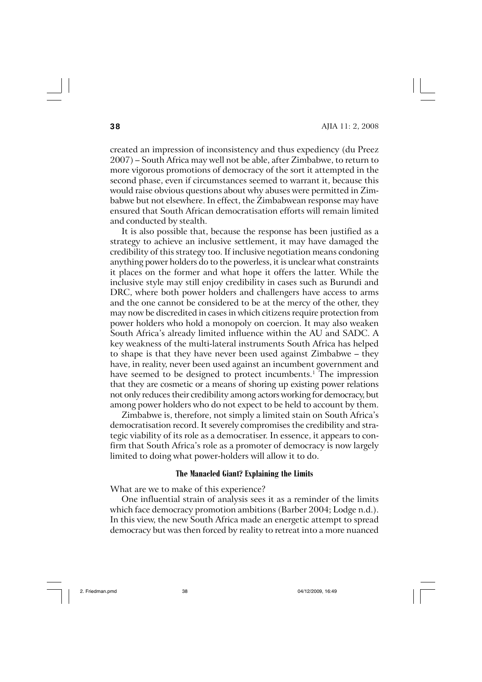created an impression of inconsistency and thus expediency (du Preez 2007) – South Africa may well not be able, after Zimbabwe, to return to more vigorous promotions of democracy of the sort it attempted in the second phase, even if circumstances seemed to warrant it, because this would raise obvious questions about why abuses were permitted in Zimbabwe but not elsewhere. In effect, the Zimbabwean response may have ensured that South African democratisation efforts will remain limited and conducted by stealth.

It is also possible that, because the response has been justified as a strategy to achieve an inclusive settlement, it may have damaged the credibility of this strategy too. If inclusive negotiation means condoning anything power holders do to the powerless, it is unclear what constraints it places on the former and what hope it offers the latter. While the inclusive style may still enjoy credibility in cases such as Burundi and DRC, where both power holders and challengers have access to arms and the one cannot be considered to be at the mercy of the other, they may now be discredited in cases in which citizens require protection from power holders who hold a monopoly on coercion. It may also weaken South Africa's already limited influence within the AU and SADC. A key weakness of the multi-lateral instruments South Africa has helped to shape is that they have never been used against Zimbabwe – they have, in reality, never been used against an incumbent government and have seemed to be designed to protect incumbents.<sup>1</sup> The impression that they are cosmetic or a means of shoring up existing power relations not only reduces their credibility among actors working for democracy, but among power holders who do not expect to be held to account by them.

Zimbabwe is, therefore, not simply a limited stain on South Africa's democratisation record. It severely compromises the credibility and strategic viability of its role as a democratiser. In essence, it appears to confirm that South Africa's role as a promoter of democracy is now largely limited to doing what power-holders will allow it to do.

# **The Manacled Giant? Explaining the Limits**

What are we to make of this experience?

One influential strain of analysis sees it as a reminder of the limits which face democracy promotion ambitions (Barber 2004; Lodge n.d.). In this view, the new South Africa made an energetic attempt to spread democracy but was then forced by reality to retreat into a more nuanced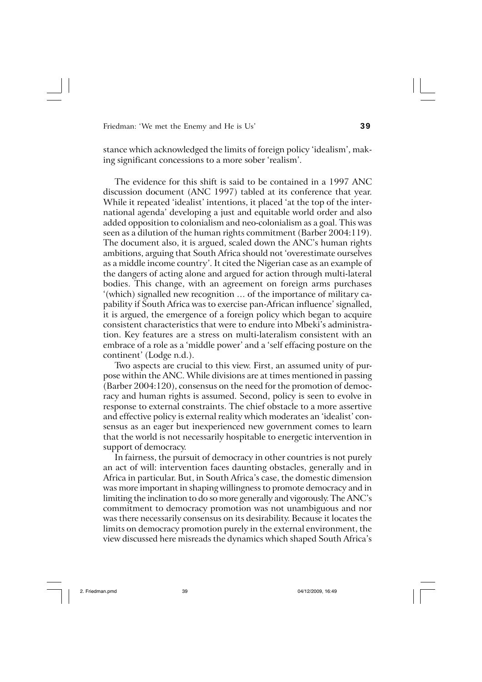stance which acknowledged the limits of foreign policy 'idealism', making significant concessions to a more sober 'realism'.

The evidence for this shift is said to be contained in a 1997 ANC discussion document (ANC 1997) tabled at its conference that year. While it repeated 'idealist' intentions, it placed 'at the top of the international agenda' developing a just and equitable world order and also added opposition to colonialism and neo-colonialism as a goal. This was seen as a dilution of the human rights commitment (Barber 2004:119). The document also, it is argued, scaled down the ANC's human rights ambitions, arguing that South Africa should not 'overestimate ourselves as a middle income country'. It cited the Nigerian case as an example of the dangers of acting alone and argued for action through multi-lateral bodies. This change, with an agreement on foreign arms purchases '(which) signalled new recognition … of the importance of military capability if South Africa was to exercise pan-African influence' signalled, it is argued, the emergence of a foreign policy which began to acquire consistent characteristics that were to endure into Mbeki's administration. Key features are a stress on multi-lateralism consistent with an embrace of a role as a 'middle power' and a 'self effacing posture on the continent' (Lodge n.d.).

Two aspects are crucial to this view. First, an assumed unity of purpose within the ANC. While divisions are at times mentioned in passing (Barber 2004:120), consensus on the need for the promotion of democracy and human rights is assumed. Second, policy is seen to evolve in response to external constraints. The chief obstacle to a more assertive and effective policy is external reality which moderates an 'idealist' consensus as an eager but inexperienced new government comes to learn that the world is not necessarily hospitable to energetic intervention in support of democracy.

In fairness, the pursuit of democracy in other countries is not purely an act of will: intervention faces daunting obstacles, generally and in Africa in particular. But, in South Africa's case, the domestic dimension was more important in shaping willingness to promote democracy and in limiting the inclination to do so more generally and vigorously. The ANC's commitment to democracy promotion was not unambiguous and nor was there necessarily consensus on its desirability. Because it locates the limits on democracy promotion purely in the external environment, the view discussed here misreads the dynamics which shaped South Africa's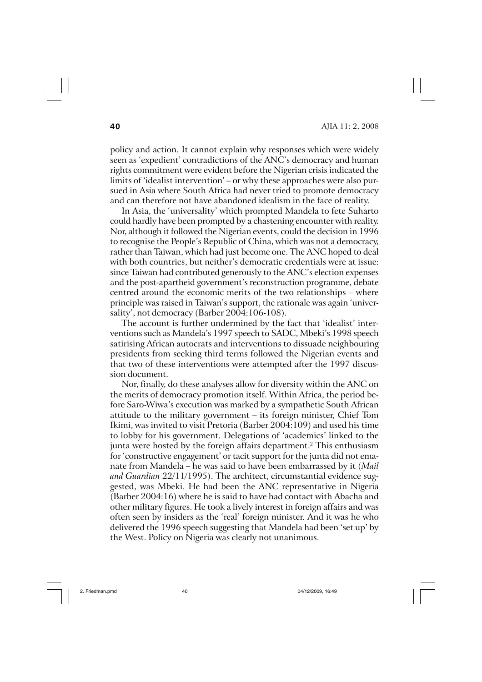policy and action. It cannot explain why responses which were widely seen as 'expedient' contradictions of the ANC's democracy and human rights commitment were evident before the Nigerian crisis indicated the limits of 'idealist intervention' – or why these approaches were also pursued in Asia where South Africa had never tried to promote democracy and can therefore not have abandoned idealism in the face of reality.

In Asia, the 'universality' which prompted Mandela to fete Suharto could hardly have been prompted by a chastening encounter with reality. Nor, although it followed the Nigerian events, could the decision in 1996 to recognise the People's Republic of China, which was not a democracy, rather than Taiwan, which had just become one. The ANC hoped to deal with both countries, but neither's democratic credentials were at issue: since Taiwan had contributed generously to the ANC's election expenses and the post-apartheid government's reconstruction programme, debate centred around the economic merits of the two relationships – where principle was raised in Taiwan's support, the rationale was again 'universality', not democracy (Barber 2004:106-108).

The account is further undermined by the fact that 'idealist' interventions such as Mandela's 1997 speech to SADC, Mbeki's 1998 speech satirising African autocrats and interventions to dissuade neighbouring presidents from seeking third terms followed the Nigerian events and that two of these interventions were attempted after the 1997 discussion document.

Nor, finally, do these analyses allow for diversity within the ANC on the merits of democracy promotion itself. Within Africa, the period before Saro-Wiwa's execution was marked by a sympathetic South African attitude to the military government – its foreign minister, Chief Tom Ikimi, was invited to visit Pretoria (Barber 2004:109) and used his time to lobby for his government. Delegations of 'academics' linked to the junta were hosted by the foreign affairs department.<sup>2</sup> This enthusiasm for 'constructive engagement' or tacit support for the junta did not emanate from Mandela – he was said to have been embarrassed by it (*Mail and Guardian* 22/11/1995). The architect, circumstantial evidence suggested, was Mbeki. He had been the ANC representative in Nigeria (Barber 2004:16) where he is said to have had contact with Abacha and other military figures. He took a lively interest in foreign affairs and was often seen by insiders as the 'real' foreign minister. And it was he who delivered the 1996 speech suggesting that Mandela had been 'set up' by the West. Policy on Nigeria was clearly not unanimous.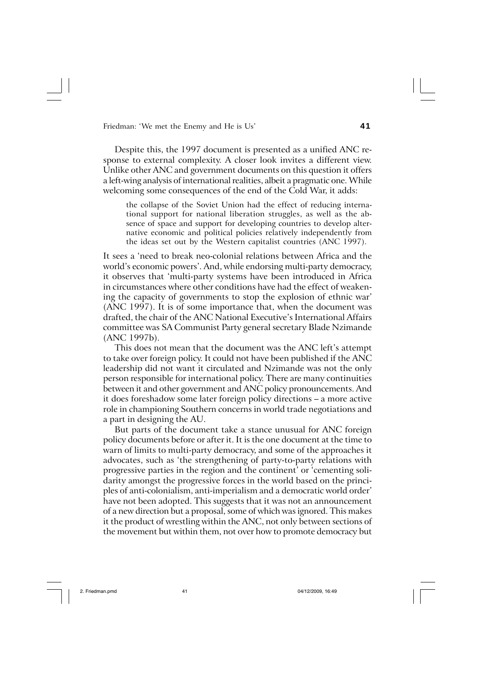Despite this, the 1997 document is presented as a unified ANC response to external complexity. A closer look invites a different view. Unlike other ANC and government documents on this question it offers a left-wing analysis of international realities, albeit a pragmatic one. While welcoming some consequences of the end of the Cold War, it adds:

the collapse of the Soviet Union had the effect of reducing international support for national liberation struggles, as well as the absence of space and support for developing countries to develop alternative economic and political policies relatively independently from the ideas set out by the Western capitalist countries (ANC 1997).

It sees a 'need to break neo-colonial relations between Africa and the world's economic powers'. And, while endorsing multi-party democracy, it observes that 'multi-party systems have been introduced in Africa in circumstances where other conditions have had the effect of weakening the capacity of governments to stop the explosion of ethnic war' (ANC 1997). It is of some importance that, when the document was drafted, the chair of the ANC National Executive's International Affairs committee was SA Communist Party general secretary Blade Nzimande (ANC 1997b).

This does not mean that the document was the ANC left's attempt to take over foreign policy. It could not have been published if the ANC leadership did not want it circulated and Nzimande was not the only person responsible for international policy. There are many continuities between it and other government and ANC policy pronouncements. And it does foreshadow some later foreign policy directions – a more active role in championing Southern concerns in world trade negotiations and a part in designing the AU.

But parts of the document take a stance unusual for ANC foreign policy documents before or after it. It is the one document at the time to warn of limits to multi-party democracy, and some of the approaches it advocates, such as 'the strengthening of party-to-party relations with progressive parties in the region and the continent' or 'cementing solidarity amongst the progressive forces in the world based on the principles of anti-colonialism, anti-imperialism and a democratic world order' have not been adopted. This suggests that it was not an announcement of a new direction but a proposal, some of which was ignored. This makes it the product of wrestling within the ANC, not only between sections of the movement but within them, not over how to promote democracy but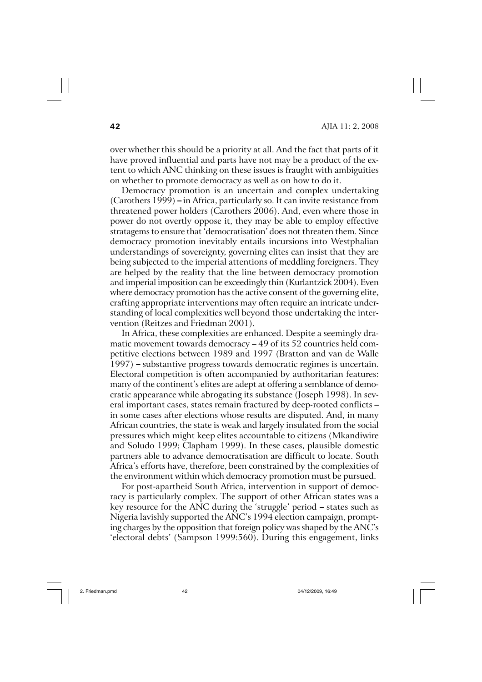over whether this should be a priority at all. And the fact that parts of it have proved influential and parts have not may be a product of the extent to which ANC thinking on these issues is fraught with ambiguities on whether to promote democracy as well as on how to do it.

Democracy promotion is an uncertain and complex undertaking (Carothers 1999) – in Africa, particularly so. It can invite resistance from threatened power holders (Carothers 2006). And, even where those in power do not overtly oppose it, they may be able to employ effective stratagems to ensure that 'democratisation' does not threaten them. Since democracy promotion inevitably entails incursions into Westphalian understandings of sovereignty, governing elites can insist that they are being subjected to the imperial attentions of meddling foreigners. They are helped by the reality that the line between democracy promotion and imperial imposition can be exceedingly thin (Kurlantzick 2004). Even where democracy promotion has the active consent of the governing elite, crafting appropriate interventions may often require an intricate understanding of local complexities well beyond those undertaking the intervention (Reitzes and Friedman 2001).

In Africa, these complexities are enhanced. Despite a seemingly dramatic movement towards democracy – 49 of its 52 countries held competitive elections between 1989 and 1997 (Bratton and van de Walle 1997) – substantive progress towards democratic regimes is uncertain. Electoral competition is often accompanied by authoritarian features: many of the continent's elites are adept at offering a semblance of democratic appearance while abrogating its substance (Joseph 1998). In several important cases, states remain fractured by deep-rooted conflicts – in some cases after elections whose results are disputed. And, in many African countries, the state is weak and largely insulated from the social pressures which might keep elites accountable to citizens (Mkandiwire and Soludo 1999; Clapham 1999). In these cases, plausible domestic partners able to advance democratisation are difficult to locate. South Africa's efforts have, therefore, been constrained by the complexities of the environment within which democracy promotion must be pursued.

For post-apartheid South Africa, intervention in support of democracy is particularly complex. The support of other African states was a key resource for the ANC during the 'struggle' period – states such as Nigeria lavishly supported the ANC's 1994 election campaign, prompting charges by the opposition that foreign policy was shaped by the ANC's 'electoral debts' (Sampson 1999:560). During this engagement, links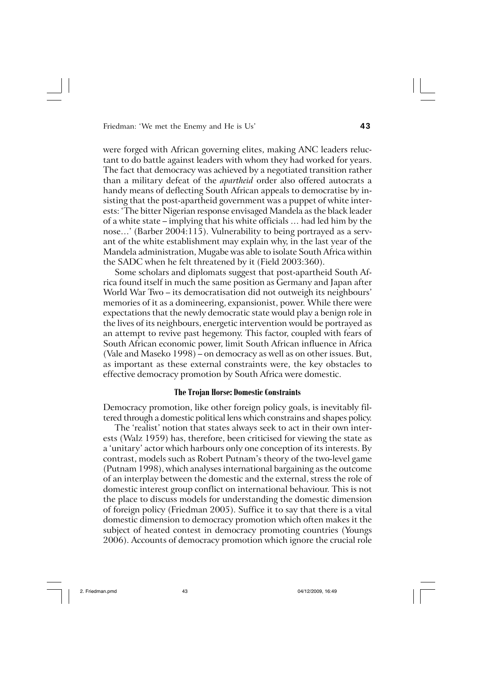were forged with African governing elites, making ANC leaders reluctant to do battle against leaders with whom they had worked for years. The fact that democracy was achieved by a negotiated transition rather than a military defeat of the *apartheid* order also offered autocrats a handy means of deflecting South African appeals to democratise by insisting that the post-apartheid government was a puppet of white interests: 'The bitter Nigerian response envisaged Mandela as the black leader of a white state – implying that his white officials … had led him by the nose…' (Barber 2004:115). Vulnerability to being portrayed as a servant of the white establishment may explain why, in the last year of the Mandela administration, Mugabe was able to isolate South Africa within the SADC when he felt threatened by it (Field 2003:360).

Some scholars and diplomats suggest that post-apartheid South Africa found itself in much the same position as Germany and Japan after World War Two – its democratisation did not outweigh its neighbours' memories of it as a domineering, expansionist, power. While there were expectations that the newly democratic state would play a benign role in the lives of its neighbours, energetic intervention would be portrayed as an attempt to revive past hegemony. This factor, coupled with fears of South African economic power, limit South African influence in Africa (Vale and Maseko 1998) – on democracy as well as on other issues. But, as important as these external constraints were, the key obstacles to effective democracy promotion by South Africa were domestic.

### **The Trojan Horse: Domestic Constraints**

Democracy promotion, like other foreign policy goals, is inevitably filtered through a domestic political lens which constrains and shapes policy.

The 'realist' notion that states always seek to act in their own interests (Walz 1959) has, therefore, been criticised for viewing the state as a 'unitary' actor which harbours only one conception of its interests. By contrast, models such as Robert Putnam's theory of the two-level game (Putnam 1998), which analyses international bargaining as the outcome of an interplay between the domestic and the external, stress the role of domestic interest group conflict on international behaviour. This is not the place to discuss models for understanding the domestic dimension of foreign policy (Friedman 2005). Suffice it to say that there is a vital domestic dimension to democracy promotion which often makes it the subject of heated contest in democracy promoting countries (Youngs 2006). Accounts of democracy promotion which ignore the crucial role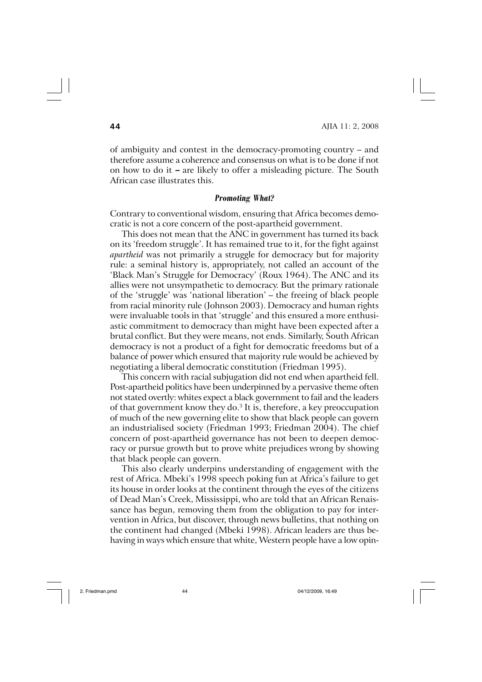of ambiguity and contest in the democracy-promoting country – and therefore assume a coherence and consensus on what is to be done if not on how to do it – are likely to offer a misleading picture. The South African case illustrates this.

# *Promoting What?*

Contrary to conventional wisdom, ensuring that Africa becomes democratic is not a core concern of the post-apartheid government.

This does not mean that the ANC in government has turned its back on its 'freedom struggle'. It has remained true to it, for the fight against *apartheid* was not primarily a struggle for democracy but for majority rule: a seminal history is, appropriately, not called an account of the 'Black Man's Struggle for Democracy' (Roux 1964). The ANC and its allies were not unsympathetic to democracy. But the primary rationale of the 'struggle' was 'national liberation' – the freeing of black people from racial minority rule (Johnson 2003). Democracy and human rights were invaluable tools in that 'struggle' and this ensured a more enthusiastic commitment to democracy than might have been expected after a brutal conflict. But they were means, not ends. Similarly, South African democracy is not a product of a fight for democratic freedoms but of a balance of power which ensured that majority rule would be achieved by negotiating a liberal democratic constitution (Friedman 1995).

This concern with racial subjugation did not end when apartheid fell. Post-apartheid politics have been underpinned by a pervasive theme often not stated overtly: whites expect a black government to fail and the leaders of that government know they do.3 It is, therefore, a key preoccupation of much of the new governing elite to show that black people can govern an industrialised society (Friedman 1993; Friedman 2004). The chief concern of post-apartheid governance has not been to deepen democracy or pursue growth but to prove white prejudices wrong by showing that black people can govern.

This also clearly underpins understanding of engagement with the rest of Africa. Mbeki's 1998 speech poking fun at Africa's failure to get its house in order looks at the continent through the eyes of the citizens of Dead Man's Creek, Mississippi, who are told that an African Renaissance has begun, removing them from the obligation to pay for intervention in Africa, but discover, through news bulletins, that nothing on the continent had changed (Mbeki 1998). African leaders are thus behaving in ways which ensure that white, Western people have a low opin-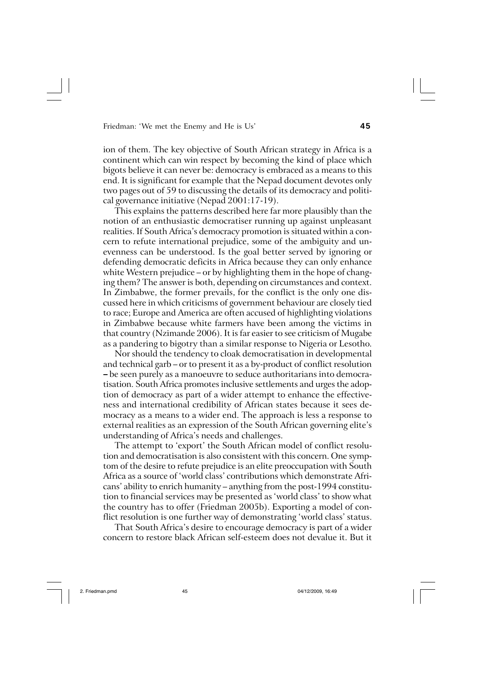ion of them. The key objective of South African strategy in Africa is a continent which can win respect by becoming the kind of place which bigots believe it can never be: democracy is embraced as a means to this end. It is significant for example that the Nepad document devotes only two pages out of 59 to discussing the details of its democracy and political governance initiative (Nepad 2001:17-19).

This explains the patterns described here far more plausibly than the notion of an enthusiastic democratiser running up against unpleasant realities. If South Africa's democracy promotion is situated within a concern to refute international prejudice, some of the ambiguity and unevenness can be understood. Is the goal better served by ignoring or defending democratic deficits in Africa because they can only enhance white Western prejudice – or by highlighting them in the hope of changing them? The answer is both, depending on circumstances and context. In Zimbabwe, the former prevails, for the conflict is the only one discussed here in which criticisms of government behaviour are closely tied to race; Europe and America are often accused of highlighting violations in Zimbabwe because white farmers have been among the victims in that country (Nzimande 2006). It is far easier to see criticism of Mugabe as a pandering to bigotry than a similar response to Nigeria or Lesotho.

Nor should the tendency to cloak democratisation in developmental and technical garb – or to present it as a by-product of conflict resolution – be seen purely as a manoeuvre to seduce authoritarians into democratisation. South Africa promotes inclusive settlements and urges the adoption of democracy as part of a wider attempt to enhance the effectiveness and international credibility of African states because it sees democracy as a means to a wider end. The approach is less a response to external realities as an expression of the South African governing elite's understanding of Africa's needs and challenges.

The attempt to 'export' the South African model of conflict resolution and democratisation is also consistent with this concern. One symptom of the desire to refute prejudice is an elite preoccupation with South Africa as a source of 'world class' contributions which demonstrate Africans' ability to enrich humanity – anything from the post-1994 constitution to financial services may be presented as 'world class' to show what the country has to offer (Friedman 2005b). Exporting a model of conflict resolution is one further way of demonstrating 'world class' status.

That South Africa's desire to encourage democracy is part of a wider concern to restore black African self-esteem does not devalue it. But it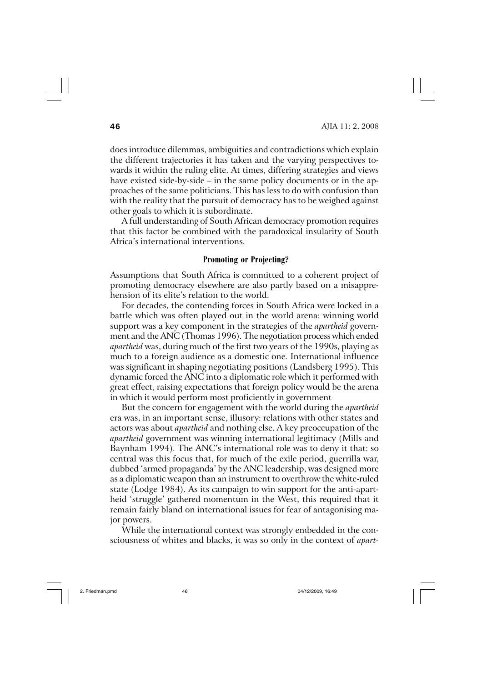does introduce dilemmas, ambiguities and contradictions which explain the different trajectories it has taken and the varying perspectives towards it within the ruling elite. At times, differing strategies and views have existed side-by-side – in the same policy documents or in the approaches of the same politicians. This has less to do with confusion than with the reality that the pursuit of democracy has to be weighed against other goals to which it is subordinate.

A full understanding of South African democracy promotion requires that this factor be combined with the paradoxical insularity of South Africa's international interventions.

## **Promoting or Projecting?**

Assumptions that South Africa is committed to a coherent project of promoting democracy elsewhere are also partly based on a misapprehension of its elite's relation to the world.

For decades, the contending forces in South Africa were locked in a battle which was often played out in the world arena: winning world support was a key component in the strategies of the *apartheid* government and the ANC (Thomas 1996). The negotiation process which ended *apartheid* was, during much of the first two years of the 1990s, playing as much to a foreign audience as a domestic one. International influence was significant in shaping negotiating positions (Landsberg 1995). This dynamic forced the ANC into a diplomatic role which it performed with great effect, raising expectations that foreign policy would be the arena in which it would perform most proficiently in government.

But the concern for engagement with the world during the *apartheid* era was, in an important sense, illusory: relations with other states and actors was about *apartheid* and nothing else. A key preoccupation of the *apartheid* government was winning international legitimacy (Mills and Baynham 1994). The ANC's international role was to deny it that: so central was this focus that, for much of the exile period, guerrilla war, dubbed 'armed propaganda' by the ANC leadership, was designed more as a diplomatic weapon than an instrument to overthrow the white-ruled state (Lodge 1984). As its campaign to win support for the anti-apartheid 'struggle' gathered momentum in the West, this required that it remain fairly bland on international issues for fear of antagonising major powers.

While the international context was strongly embedded in the consciousness of whites and blacks, it was so only in the context of *apart-*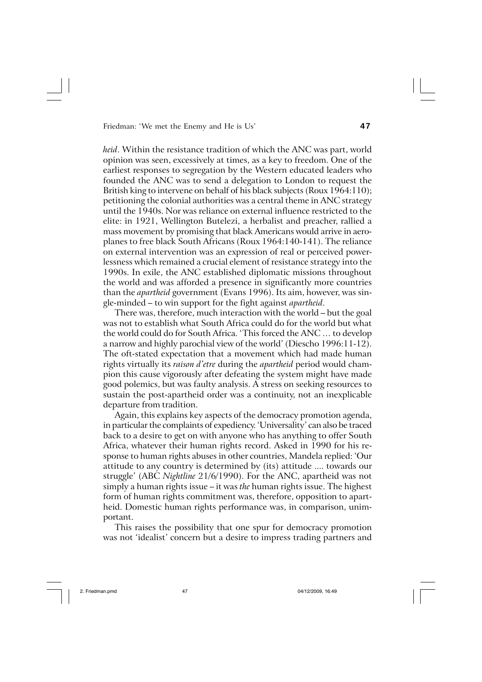*heid*. Within the resistance tradition of which the ANC was part, world opinion was seen, excessively at times, as a key to freedom. One of the earliest responses to segregation by the Western educated leaders who founded the ANC was to send a delegation to London to request the British king to intervene on behalf of his black subjects (Roux 1964:110); petitioning the colonial authorities was a central theme in ANC strategy until the 1940s. Nor was reliance on external influence restricted to the elite: in 1921, Wellington Butelezi, a herbalist and preacher, rallied a mass movement by promising that black Americans would arrive in aeroplanes to free black South Africans (Roux 1964:140-141). The reliance on external intervention was an expression of real or perceived powerlessness which remained a crucial element of resistance strategy into the 1990s. In exile, the ANC established diplomatic missions throughout the world and was afforded a presence in significantly more countries than the *apartheid* government (Evans 1996). Its aim, however, was single-minded – to win support for the fight against *apartheid*.

There was, therefore, much interaction with the world – but the goal was not to establish what South Africa could do for the world but what the world could do for South Africa. 'This forced the ANC … to develop a narrow and highly parochial view of the world' (Diescho 1996:11-12). The oft-stated expectation that a movement which had made human rights virtually its *raison d'etre* during the *apartheid* period would champion this cause vigorously after defeating the system might have made good polemics, but was faulty analysis. A stress on seeking resources to sustain the post-apartheid order was a continuity, not an inexplicable departure from tradition.

Again, this explains key aspects of the democracy promotion agenda, in particular the complaints of expediency. 'Universality' can also be traced back to a desire to get on with anyone who has anything to offer South Africa, whatever their human rights record. Asked in 1990 for his response to human rights abuses in other countries, Mandela replied: 'Our attitude to any country is determined by (its) attitude .... towards our struggle' (ABC *Nightline* 21/6/1990). For the ANC, apartheid was not simply a human rights issue – it was *the* human rights issue. The highest form of human rights commitment was, therefore, opposition to apartheid. Domestic human rights performance was, in comparison, unimportant.

This raises the possibility that one spur for democracy promotion was not 'idealist' concern but a desire to impress trading partners and

2. Friedman.pmd 47 47 04/12/2009, 16:49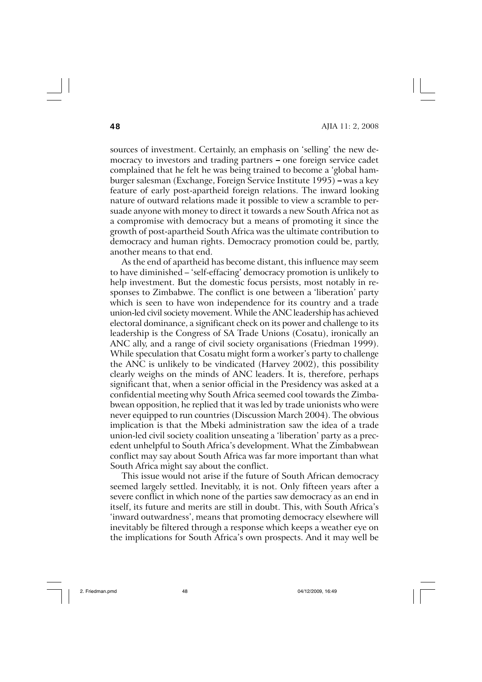**48** AJIA 11: 2, 2008

sources of investment. Certainly, an emphasis on 'selling' the new democracy to investors and trading partners – one foreign service cadet complained that he felt he was being trained to become a 'global hamburger salesman (Exchange, Foreign Service Institute 1995) – was a key feature of early post-apartheid foreign relations. The inward looking nature of outward relations made it possible to view a scramble to persuade anyone with money to direct it towards a new South Africa not as a compromise with democracy but a means of promoting it since the growth of post-apartheid South Africa was the ultimate contribution to democracy and human rights. Democracy promotion could be, partly, another means to that end.

As the end of apartheid has become distant, this influence may seem to have diminished – 'self-effacing' democracy promotion is unlikely to help investment. But the domestic focus persists, most notably in responses to Zimbabwe. The conflict is one between a 'liberation' party which is seen to have won independence for its country and a trade union-led civil society movement. While the ANC leadership has achieved electoral dominance, a significant check on its power and challenge to its leadership is the Congress of SA Trade Unions (Cosatu), ironically an ANC ally, and a range of civil society organisations (Friedman 1999). While speculation that Cosatu might form a worker's party to challenge the ANC is unlikely to be vindicated (Harvey 2002), this possibility clearly weighs on the minds of ANC leaders. It is, therefore, perhaps significant that, when a senior official in the Presidency was asked at a confidential meeting why South Africa seemed cool towards the Zimbabwean opposition, he replied that it was led by trade unionists who were never equipped to run countries (Discussion March 2004). The obvious implication is that the Mbeki administration saw the idea of a trade union-led civil society coalition unseating a 'liberation' party as a precedent unhelpful to South Africa's development. What the Zimbabwean conflict may say about South Africa was far more important than what South Africa might say about the conflict.

This issue would not arise if the future of South African democracy seemed largely settled. Inevitably, it is not. Only fifteen years after a severe conflict in which none of the parties saw democracy as an end in itself, its future and merits are still in doubt. This, with South Africa's 'inward outwardness', means that promoting democracy elsewhere will inevitably be filtered through a response which keeps a weather eye on the implications for South Africa's own prospects. And it may well be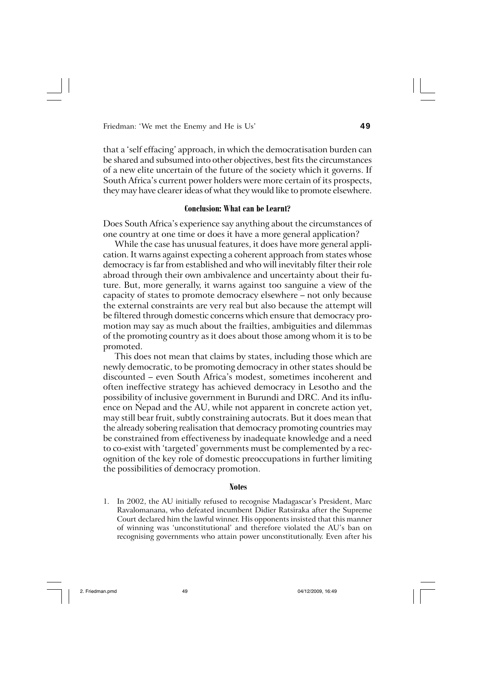that a 'self effacing' approach, in which the democratisation burden can be shared and subsumed into other objectives, best fits the circumstances of a new elite uncertain of the future of the society which it governs. If South Africa's current power holders were more certain of its prospects, they may have clearer ideas of what they would like to promote elsewhere.

# **Conclusion: What can be Learnt?**

Does South Africa's experience say anything about the circumstances of one country at one time or does it have a more general application?

While the case has unusual features, it does have more general application. It warns against expecting a coherent approach from states whose democracy is far from established and who will inevitably filter their role abroad through their own ambivalence and uncertainty about their future. But, more generally, it warns against too sanguine a view of the capacity of states to promote democracy elsewhere – not only because the external constraints are very real but also because the attempt will be filtered through domestic concerns which ensure that democracy promotion may say as much about the frailties, ambiguities and dilemmas of the promoting country as it does about those among whom it is to be promoted.

This does not mean that claims by states, including those which are newly democratic, to be promoting democracy in other states should be discounted – even South Africa's modest, sometimes incoherent and often ineffective strategy has achieved democracy in Lesotho and the possibility of inclusive government in Burundi and DRC. And its influence on Nepad and the AU, while not apparent in concrete action yet, may still bear fruit, subtly constraining autocrats. But it does mean that the already sobering realisation that democracy promoting countries may be constrained from effectiveness by inadequate knowledge and a need to co-exist with 'targeted' governments must be complemented by a recognition of the key role of domestic preoccupations in further limiting the possibilities of democracy promotion.

## **Notes**

1. In 2002, the AU initially refused to recognise Madagascar's President, Marc Ravalomanana, who defeated incumbent Didier Ratsiraka after the Supreme Court declared him the lawful winner. His opponents insisted that this manner of winning was 'unconstitutional' and therefore violated the AU's ban on recognising governments who attain power unconstitutionally. Even after his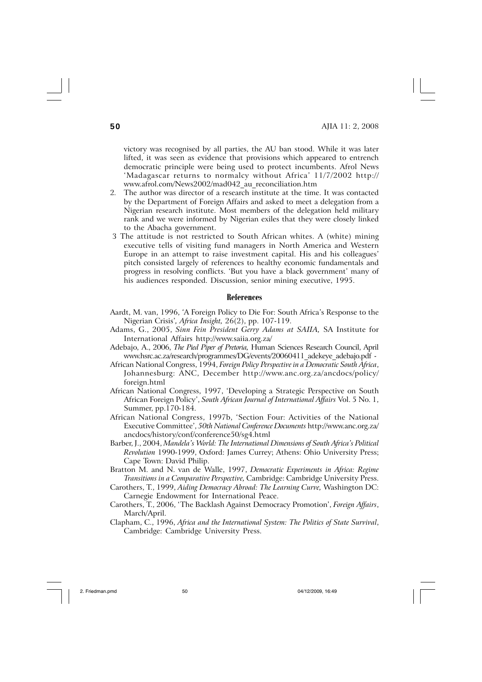victory was recognised by all parties, the AU ban stood. While it was later lifted, it was seen as evidence that provisions which appeared to entrench democratic principle were being used to protect incumbents. Afrol News 'Madagascar returns to normalcy without Africa' 11/7/2002 http:// www.afrol.com/News2002/mad042\_au\_reconciliation.htm

- 2. The author was director of a research institute at the time. It was contacted by the Department of Foreign Affairs and asked to meet a delegation from a Nigerian research institute. Most members of the delegation held military rank and we were informed by Nigerian exiles that they were closely linked to the Abacha government.
- 3 The attitude is not restricted to South African whites. A (white) mining executive tells of visiting fund managers in North America and Western Europe in an attempt to raise investment capital. His and his colleagues' pitch consisted largely of references to healthy economic fundamentals and progress in resolving conflicts. 'But you have a black government' many of his audiences responded. Discussion, senior mining executive, 1995.

#### **References**

- Aardt, M. van, 1996, *'*A Foreign Policy to Die For: South Africa's Response to the Nigerian Crisis'*, Africa Insight,* 26(2), pp. 107-119.
- Adams, G., 2005, *Sinn Fein President Gerry Adams at SAIIA,* SA Institute for International Affairs http://www.saiia.org.za/
- Adebajo, A., 2006, *The Pied Piper of Pretoria,* Human Sciences Research Council, April www.hsrc.ac.za/research/programmes/DG/events/20060411\_adekeye\_adebajo.pdf -
- African National Congress, 1994, *Foreign Policy Perspective in a Democratic South Africa*, Johannesburg: ANC, December http://www.anc.org.za/ancdocs/policy/ foreign.html
- African National Congress, 1997, 'Developing a Strategic Perspective on South African Foreign Policy', *South African Journal of International Affairs* Vol. 5 No. 1, Summer, pp.170-184.
- African National Congress, 1997b, 'Section Four: Activities of the National Executive Committee', *50th National Conference Documents* http://www.anc.org.za/ ancdocs/history/conf/conference50/sg4.html
- Barber, J., 2004, *Mandela's World: The International Dimensions of South Africa's Political Revolution* 1990-1999, Oxford: James Currey; Athens: Ohio University Press; Cape Town: David Philip.
- Bratton M. and N. van de Walle, 1997, *Democratic Experiments in Africa: Regime Transitions in a Comparative Perspective,* Cambridge: Cambridge University Press.
- Carothers, T., 1999, *Aiding Democracy Abroad: The Learning Curve,* Washington DC: Carnegie Endowment for International Peace.
- Carothers, T., 2006, 'The Backlash Against Democracy Promotion', *Foreign Affairs*, March/April.
- Clapham, C., 1996, *Africa and the International System: The Politics of State Survival*, Cambridge: Cambridge University Press.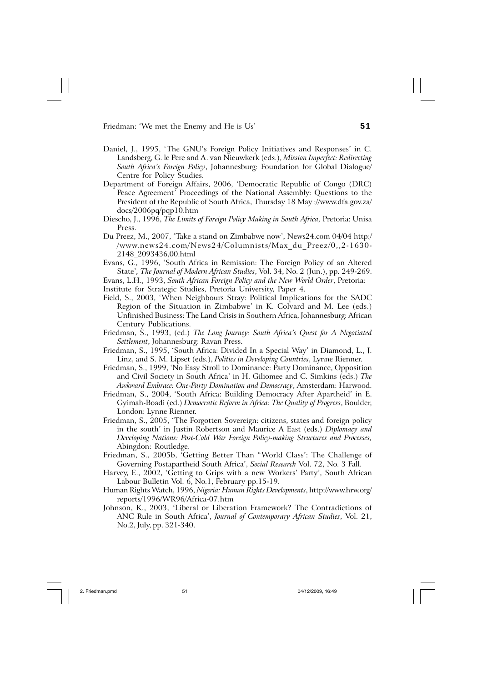- Daniel, J., 1995, 'The GNU's Foreign Policy Initiatives and Responses' in C. Landsberg, G. le Pere and A. van Nieuwkerk (eds.), *Mission Imperfect: Redirecting South Africa's Foreign Policy*, Johannesburg: Foundation for Global Dialogue/ Centre for Policy Studies.
- Department of Foreign Affairs, 2006, 'Democratic Republic of Congo (DRC) Peace Agreement' Proceedings of the National Assembly: Questions to the President of the Republic of South Africa, Thursday 18 May ://www.dfa.gov.za/ docs/2006pq/pqp10.htm
- Diescho, J., 1996, *The Limits of Foreign Policy Making in South Africa,* Pretoria: Unisa Press.
- Du Preez, M., 2007, 'Take a stand on Zimbabwe now', News24.com 04/04 http:/ /www.news24.com/News24/Columnists/Max\_du\_Preez/0,,2-1630- 2148\_2093436,00.html
- Evans, G., 1996, 'South Africa in Remission: The Foreign Policy of an Altered State'*, The Journal of Modern African Studies*, Vol. 34, No. 2 (Jun.), pp. 249-269.

Evans, L.H., 1993, *South African Foreign Policy and the New World Order*, Pretoria:

- Institute for Strategic Studies, Pretoria University, Paper 4.
- Field, S., 2003, 'When Neighbours Stray: Political Implications for the SADC Region of the Situation in Zimbabwe' in K. Colvard and M. Lee (eds.) Unfinished Business: The Land Crisis in Southern Africa, Johannesburg: African Century Publications.
- Friedman, S., 1993, (ed.) *The Long Journey: South Africa's Quest for A Negotiated Settlement*, Johannesburg: Ravan Press.
- Friedman, S., 1995, 'South Africa: Divided In a Special Way' in Diamond, L., J. Linz, and S. M. Lipset (eds.), *Politics in Developing Countries*, Lynne Rienner.
- Friedman, S., 1999, 'No Easy Stroll to Dominance: Party Dominance, Opposition and Civil Society in South Africa' in H. Giliomee and C. Simkins (eds.) *The Awkward Embrace: One-Party Domination and Democracy*, Amsterdam: Harwood.
- Friedman, S., 2004, 'South Africa: Building Democracy After Apartheid' in E. Gyimah-Boadi (ed.) *Democratic Reform in Africa: The Quality of Progress*, Boulder, London: Lynne Rienner.
- Friedman, S., 2005, 'The Forgotten Sovereign: citizens, states and foreign policy in the south' in Justin Robertson and Maurice A East (eds.) *Diplomacy and Developing Nations: Post-Cold War Foreign Policy-making Structures and Processes,* Abingdon: Routledge.
- Friedman, S., 2005b, 'Getting Better Than "World Class': The Challenge of Governing Postapartheid South Africa', *Social Research* Vol. 72, No. 3 Fall.
- Harvey, E., 2002, 'Getting to Grips with a new Workers' Party', South African Labour Bulletin Vol. 6, No.1, February pp.15-19.
- Human Rights Watch, 1996, *Nigeria: Human Rights Developments*, http://www.hrw.org/ reports/1996/WR96/Africa-07.htm
- Johnson, K., 2003, *'*Liberal or Liberation Framework? The Contradictions of ANC Rule in South Africa', *Journal of Contemporary African Studies*, Vol. 21, No.2, July, pp. 321-340.

2. Friedman.pmd 51 04/12/2009, 16:49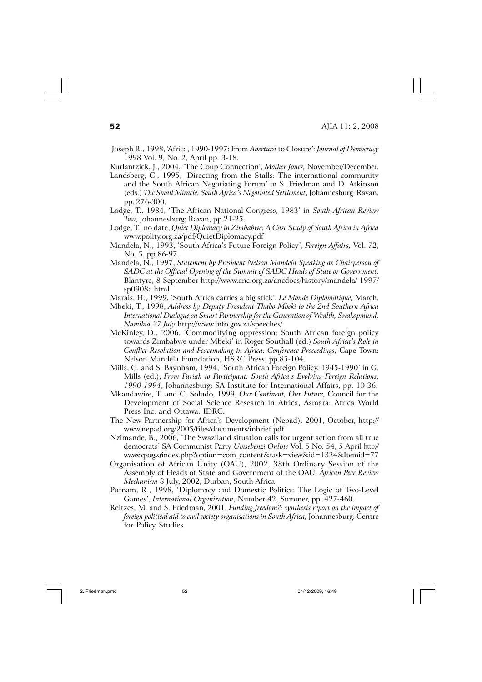Joseph R., 1998, 'Africa, 1990-1997: From *Abertura* to Closure': *Journal of Democracy* 1998 Vol. 9, No. 2, April pp. 3-18.

Kurlantzick, J., 2004, *'*The Coup Connection', *Mother Jones,* November/December. Landsberg, C., 1995, 'Directing from the Stalls: The international community

- and the South African Negotiating Forum' in S. Friedman and D. Atkinson (eds.) *The Small Miracle: South Africa's Negotiated Settlement*, Johannesburg: Ravan, pp. 276-300.
- Lodge, T., 1984, 'The African National Congress, 1983' in *South African Review Two*, Johannesburg: Ravan, pp.21-25.
- Lodge, T., no date, *Quiet Diplomacy in Zimbabwe: A Case Study of South Africa in Africa* www.polity.org.za/pdf/QuietDiplomacy.pdf
- Mandela, N., 1993, 'South Africa's Future Foreign Policy', *Foreign Affairs,* Vol. 72, No. 5, pp 86-97.
- Mandela, N., 1997, *Statement by President Nelson Mandela Speaking as Chairperson of SADC at the Official Opening of the Summit of SADC Heads of State or Government,* Blantyre, 8 September http://www.anc.org.za/ancdocs/history/mandela/ 1997/ sp0908a.html
- Marais, H., 1999, 'South Africa carries a big stick', *Le Monde Diplomatique,* March.
- Mbeki, T., 1998, *Address by Deputy President Thabo Mbeki to the 2nd Southern Africa International Dialogue on Smart Partnership for the Generation of Wealth, Swakopmund, Namibia 27 July* http://www.info.gov.za/speeches/
- McKinley, D., 2006, 'Commodifying oppression: South African foreign policy towards Zimbabwe under Mbeki' in Roger Southall (ed.) *South Africa's Role in Conflict Resolution and Peacemaking in Africa: Conference Proceedings,* Cape Town: Nelson Mandela Foundation, HSRC Press, pp.85-104.
- Mills, G. and S. Baynham, 1994, 'South African Foreign Policy, 1945-1990' in G. Mills (ed.), *From Pariah to Participant: South Africa's Evolving Foreign Relations, 1990-1994*, Johannesburg: SA Institute for International Affairs, pp. 10-36.
- Mkandawire, T. and C. Soludo, 1999, *Our Continent, Our Future,* Council for the Development of Social Science Research in Africa, Asmara: Africa World Press Inc. and Ottawa: IDRC.
- The New Partnership for Africa's Development (Nepad), 2001, October, http:// www.nepad.org/2005/files/documents/inbrief.pdf
- Nzimande, B., 2006, 'The Swaziland situation calls for urgent action from all true democrats' SA Communist Party *Umsebenzi Online* Vol. 5 No. 54, 5 April http:// www.sacp.org.za/index.php?option=com\_content&task=view&id=1324&Itemid=77
- Organisation of African Unity (OAU), 2002, 38th Ordinary Session of the Assembly of Heads of State and Government of the OAU: *African Peer Review Mechanism* 8 July, 2002, Durban, South Africa.
- Putnam, R., 1998, 'Diplomacy and Domestic Politics: The Logic of Two-Level Games', *International Organization*, Number 42, Summer, pp. 427-460.
- Reitzes, M. and S. Friedman, 2001, *Funding freedom?: synthesis report on the impact of foreign political aid to civil society organisations in South Africa,* Johannesburg: Centre for Policy Studies.

2. Friedman.pmd 52 04/12/2009, 16:49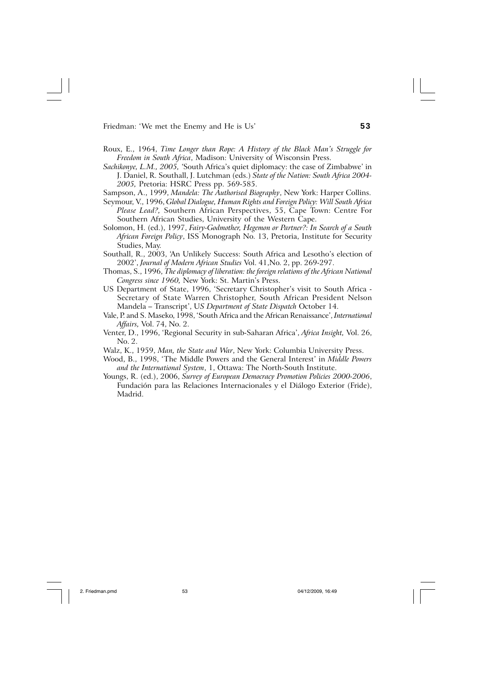Roux, E., 1964, *Time Longer than Rope: A History of the Black Man's Struggle for Freedom in South Africa*, Madison: University of Wisconsin Press.

*Sachikonye, L.M., 2005, '*South Africa's quiet diplomacy: the case of Zimbabwe' in J. Daniel, R. Southall, J. Lutchman (eds.) *State of the Nation: South Africa 2004- 2005,* Pretoria: HSRC Press pp. 569-585.

Sampson, A., 1999, *Mandela: The Authorised Biography*, New York: Harper Collins.

- Seymour, V., 1996, *Global Dialogue, Human Rights and Foreign Policy: Will South Africa Please Lead?,* Southern African Perspectives, 55, Cape Town: Centre For Southern African Studies, University of the Western Cape.
- Solomon, H. (ed.), 1997, *Fairy-Godmother, Hegemon or Partner?: In Search of a South African Foreign Policy*, ISS Monograph No. 13, Pretoria, Institute for Security Studies, May.
- Southall, R., 2003, 'An Unlikely Success: South Africa and Lesotho's election of 2002', *Journal of Modern African Studies* Vol. 41,No. 2, pp. 269-297.
- Thomas, S., 1996, *The diplomacy of liberation: the foreign relations of the African National Congress since 1960,* New York: St. Martin's Press.
- US Department of State, 1996, 'Secretary Christopher's visit to South Africa Secretary of State Warren Christopher, South African President Nelson Mandela – Transcript', U*S Department of State Dispatch* October 14.
- Vale, P. and S. Maseko, 1998, 'South Africa and the African Renaissance', *International Affairs,* Vol. 74, No. 2.
- Venter, D., 1996, 'Regional Security in sub-Saharan Africa', *Africa Insight,* Vol. 26, No. 2.
- Walz, K., 1959, *Man, the State and War*, New York: Columbia University Press.
- Wood, B., 1998, 'The Middle Powers and the General Interest' in *Middle Powers and the International System*, 1, Ottawa: The North-South Institute.
- Youngs, R. (ed.), 2006, *Survey of European Democracy Promotion Policies 2000-2006*, Fundación para las Relaciones Internacionales y el Diálogo Exterior (Fride), Madrid.